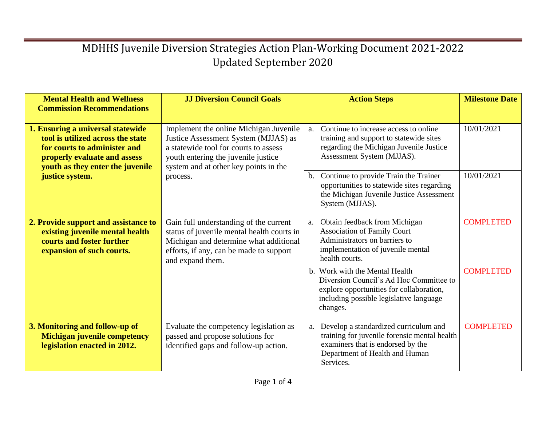| <b>Mental Health and Wellness</b><br><b>Commission Recommendations</b>                                                                                                                                                                                                                                                             | <b>JJ Diversion Council Goals</b>                                                                                       |                                                                                                                                                             | <b>Action Steps</b>                                                                                                                                                          | <b>Milestone Date</b> |
|------------------------------------------------------------------------------------------------------------------------------------------------------------------------------------------------------------------------------------------------------------------------------------------------------------------------------------|-------------------------------------------------------------------------------------------------------------------------|-------------------------------------------------------------------------------------------------------------------------------------------------------------|------------------------------------------------------------------------------------------------------------------------------------------------------------------------------|-----------------------|
| 1. Ensuring a universal statewide<br>tool is utilized across the state<br>a statewide tool for courts to assess<br>for courts to administer and<br>youth entering the juvenile justice<br>properly evaluate and assess<br>youth as they enter the juvenile                                                                         | Implement the online Michigan Juvenile<br>Justice Assessment System (MJJAS) as<br>system and at other key points in the | $a_{\cdot}$                                                                                                                                                 | Continue to increase access to online<br>training and support to statewide sites<br>regarding the Michigan Juvenile Justice<br>Assessment System (MJJAS).                    | 10/01/2021            |
| justice system.                                                                                                                                                                                                                                                                                                                    | process.                                                                                                                | $\mathbf{b}$ .                                                                                                                                              | Continue to provide Train the Trainer<br>opportunities to statewide sites regarding<br>the Michigan Juvenile Justice Assessment<br>System (MJJAS).                           | 10/01/2021            |
| 2. Provide support and assistance to<br>Gain full understanding of the current<br>status of juvenile mental health courts in<br>existing juvenile mental health<br>courts and foster further<br>Michigan and determine what additional<br>efforts, if any, can be made to support<br>expansion of such courts.<br>and expand them. | a.                                                                                                                      | Obtain feedback from Michigan<br><b>Association of Family Court</b><br>Administrators on barriers to<br>implementation of juvenile mental<br>health courts. | <b>COMPLETED</b>                                                                                                                                                             |                       |
|                                                                                                                                                                                                                                                                                                                                    |                                                                                                                         |                                                                                                                                                             | b. Work with the Mental Health<br>Diversion Council's Ad Hoc Committee to<br>explore opportunities for collaboration,<br>including possible legislative language<br>changes. | <b>COMPLETED</b>      |
| 3. Monitoring and follow-up of<br><b>Michigan juvenile competency</b><br>legislation enacted in 2012.                                                                                                                                                                                                                              | Evaluate the competency legislation as<br>passed and propose solutions for<br>identified gaps and follow-up action.     | a.                                                                                                                                                          | Develop a standardized curriculum and<br>training for juvenile forensic mental health<br>examiners that is endorsed by the<br>Department of Health and Human<br>Services.    | <b>COMPLETED</b>      |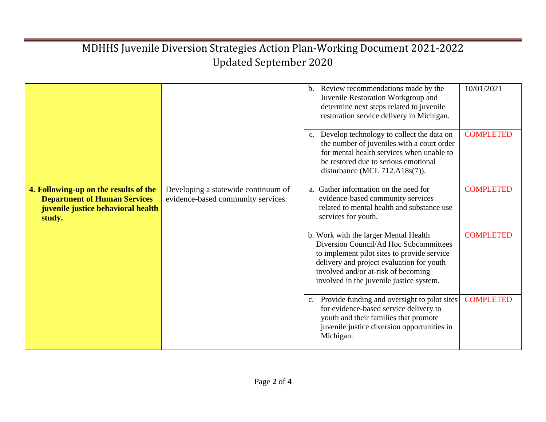|                                                                                                                              |                                                                           | b. Review recommendations made by the<br>Juvenile Restoration Workgroup and<br>determine next steps related to juvenile<br>restoration service delivery in Michigan.                                                                                           | 10/01/2021       |
|------------------------------------------------------------------------------------------------------------------------------|---------------------------------------------------------------------------|----------------------------------------------------------------------------------------------------------------------------------------------------------------------------------------------------------------------------------------------------------------|------------------|
|                                                                                                                              |                                                                           | c. Develop technology to collect the data on<br>the number of juveniles with a court order<br>for mental health services when unable to<br>be restored due to serious emotional<br>disturbance (MCL $712.A18s(7)$ ).                                           | <b>COMPLETED</b> |
| 4. Following-up on the results of the<br><b>Department of Human Services</b><br>juvenile justice behavioral health<br>study. | Developing a statewide continuum of<br>evidence-based community services. | a. Gather information on the need for<br>evidence-based community services<br>related to mental health and substance use<br>services for youth.                                                                                                                | <b>COMPLETED</b> |
|                                                                                                                              |                                                                           | b. Work with the larger Mental Health<br>Diversion Council/Ad Hoc Subcommittees<br>to implement pilot sites to provide service<br>delivery and project evaluation for youth<br>involved and/or at-risk of becoming<br>involved in the juvenile justice system. | <b>COMPLETED</b> |
|                                                                                                                              |                                                                           | c. Provide funding and oversight to pilot sites<br>for evidence-based service delivery to<br>youth and their families that promote<br>juvenile justice diversion opportunities in<br>Michigan.                                                                 | <b>COMPLETED</b> |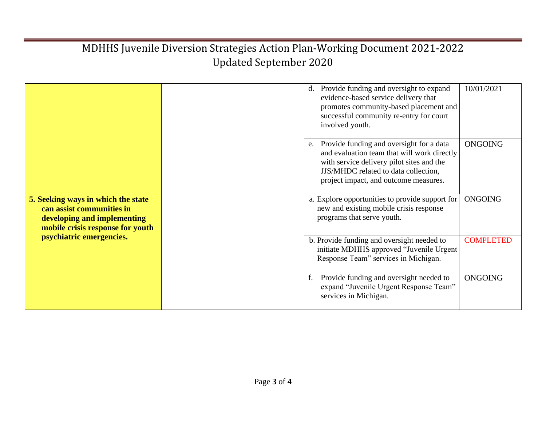|                                                                                                                                                                |  | 10/01/2021<br>Provide funding and oversight to expand<br>$d_{\cdot}$<br>evidence-based service delivery that<br>promotes community-based placement and<br>successful community re-entry for court<br>involved youth.                          |
|----------------------------------------------------------------------------------------------------------------------------------------------------------------|--|-----------------------------------------------------------------------------------------------------------------------------------------------------------------------------------------------------------------------------------------------|
|                                                                                                                                                                |  | Provide funding and oversight for a data<br><b>ONGOING</b><br>e.<br>and evaluation team that will work directly<br>with service delivery pilot sites and the<br>JJS/MHDC related to data collection,<br>project impact, and outcome measures. |
| 5. Seeking ways in which the state<br>can assist communities in<br>developing and implementing<br>mobile crisis response for youth<br>psychiatric emergencies. |  | <b>ONGOING</b><br>a. Explore opportunities to provide support for<br>new and existing mobile crisis response<br>programs that serve youth.                                                                                                    |
|                                                                                                                                                                |  | b. Provide funding and oversight needed to<br><b>COMPLETED</b><br>initiate MDHHS approved "Juvenile Urgent<br>Response Team" services in Michigan.                                                                                            |
|                                                                                                                                                                |  | Provide funding and oversight needed to<br><b>ONGOING</b><br>expand "Juvenile Urgent Response Team"<br>services in Michigan.                                                                                                                  |